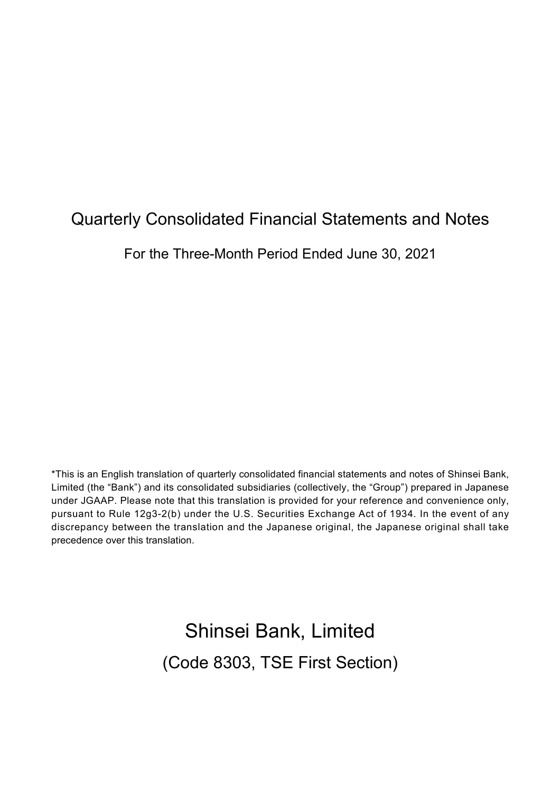# Quarterly Consolidated Financial Statements and Notes

For the Three-Month Period Ended June 30, 2021

\*This is an English translation of quarterly consolidated financial statements and notes of Shinsei Bank, Limited (the "Bank") and its consolidated subsidiaries (collectively, the "Group") prepared in Japanese under JGAAP. Please note that this translation is provided for your reference and convenience only, pursuant to Rule 12g3-2(b) under the U.S. Securities Exchange Act of 1934. In the event of any discrepancy between the translation and the Japanese original, the Japanese original shall take precedence over this translation.

> Shinsei Bank, Limited (Code 8303, TSE First Section)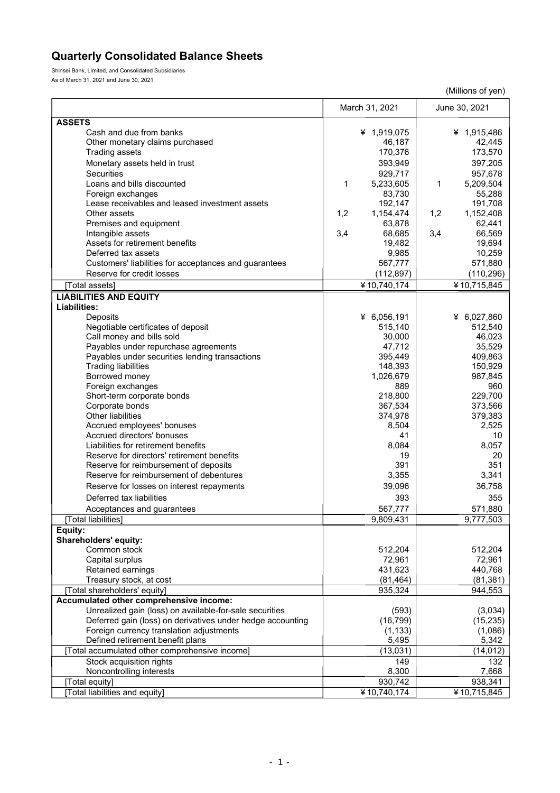## **Quarterly Consolidated Balance Sheets**

Shinsei Bank, Limited, and Consolidated Subsidiaries As of March 31, 2021 and June 30, 2021

|                                                                                                                       |                    | (Millions of yen)    |
|-----------------------------------------------------------------------------------------------------------------------|--------------------|----------------------|
|                                                                                                                       | March 31, 2021     | June 30, 2021        |
| <b>ASSETS</b>                                                                                                         |                    |                      |
| Cash and due from banks                                                                                               | ¥ 1,919,075        | ¥ 1,915,486          |
| Other monetary claims purchased                                                                                       | 46,187             | 42,445               |
| <b>Trading assets</b>                                                                                                 | 170,376            | 173,570              |
| Monetary assets held in trust                                                                                         | 393,949            | 397,205              |
| Securities                                                                                                            | 929,717            | 957,678              |
| Loans and bills discounted                                                                                            | 5,233,605<br>1     | 1<br>5,209,504       |
| Foreign exchanges                                                                                                     | 83,730             | 55,288               |
| Lease receivables and leased investment assets                                                                        | 192,147            | 191,708              |
| Other assets                                                                                                          | 1,2<br>1,154,474   | 1,2<br>1,152,408     |
| Premises and equipment                                                                                                | 63,878             | 62,441               |
| Intangible assets                                                                                                     | 3,4<br>68,685      | 3,4<br>66,569        |
| Assets for retirement benefits                                                                                        | 19,482             | 19,694               |
| Deferred tax assets                                                                                                   | 9,985              | 10,259               |
| Customers' liabilities for acceptances and guarantees                                                                 | 567,777            | 571,880              |
| Reserve for credit losses                                                                                             | (112, 897)         | (110, 296)           |
| [Total assets]                                                                                                        | ¥10,740,174        | ¥10,715,845          |
| <b>LIABILITIES AND EQUITY</b>                                                                                         |                    |                      |
| Liabilities:                                                                                                          |                    |                      |
| Deposits                                                                                                              | ¥ 6,056,191        | ¥ 6,027,860          |
| Negotiable certificates of deposit                                                                                    | 515,140            | 512,540              |
| Call money and bills sold                                                                                             | 30.000             | 46,023               |
| Payables under repurchase agreements                                                                                  | 47,712             | 35,529               |
| Payables under securities lending transactions                                                                        | 395,449            | 409,863              |
| <b>Trading liabilities</b>                                                                                            | 148,393            | 150,929              |
| Borrowed money                                                                                                        | 1,026,679          | 987,845              |
| Foreign exchanges                                                                                                     | 889                | 960                  |
| Short-term corporate bonds                                                                                            | 218,800            | 229,700<br>373,566   |
| Corporate bonds<br>Other liabilities                                                                                  | 367,534<br>374,978 | 379,383              |
| Accrued employees' bonuses                                                                                            | 8,504              | 2,525                |
| Accrued directors' bonuses                                                                                            | 41                 | 10                   |
| Liabilities for retirement benefits                                                                                   | 8,084              | 8,057                |
| Reserve for directors' retirement benefits                                                                            | 19                 | 20                   |
| Reserve for reimbursement of deposits                                                                                 | 391                | 351                  |
| Reserve for reimbursement of debentures                                                                               | 3,355              | 3,341                |
| Reserve for losses on interest repayments                                                                             | 39,096             | 36,758               |
| Deferred tax liabilities                                                                                              | 393                | 355                  |
| Acceptances and guarantees                                                                                            | 567,777            | 571,880              |
| [Total liabilities]                                                                                                   | 9,809,431          | 9,777,503            |
| Equity:                                                                                                               |                    |                      |
| Shareholders' equity:                                                                                                 |                    |                      |
| Common stock                                                                                                          | 512.204            | 512,204              |
| Capital surplus                                                                                                       | 72,961             | 72,961               |
| Retained earnings                                                                                                     | 431,623            | 440,768              |
| Treasury stock, at cost                                                                                               | (81, 464)          | (81, 381)            |
| [Total shareholders' equity]                                                                                          | 935,324            | 944,553              |
| Accumulated other comprehensive income:                                                                               |                    |                      |
| Unrealized gain (loss) on available-for-sale securities<br>Deferred gain (loss) on derivatives under hedge accounting | (593)<br>(16, 799) | (3,034)<br>(15, 235) |
| Foreign currency translation adjustments                                                                              | (1, 133)           | (1,086)              |
| Defined retirement benefit plans                                                                                      | 5,495              | 5,342                |
| [Total accumulated other comprehensive income]                                                                        | (13,031)           | (14, 012)            |
| Stock acquisition rights                                                                                              | 149                | 132                  |
| Noncontrolling interests                                                                                              | 8,300              | 7,668                |
| [Total equity]                                                                                                        | 930,742            | 938,341              |
| [Total liabilities and equity]                                                                                        | ¥10,740,174        | ¥10,715,845          |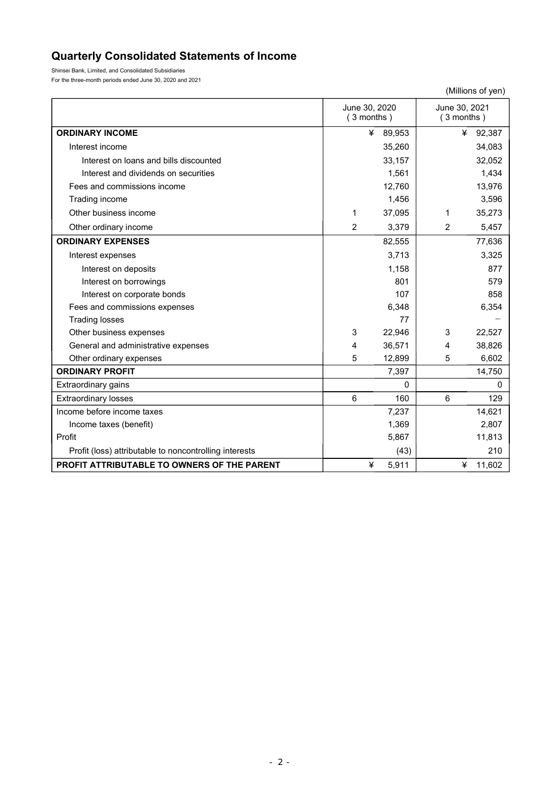## **Quarterly Consolidated Statements of Income**

Shinsei Bank, Limited, and Consolidated Subsidiaries For the three-month periods ended June 30, 2020 and 2021

|                                                        |                               |        |   | (Millions of yen)             |
|--------------------------------------------------------|-------------------------------|--------|---|-------------------------------|
|                                                        | June 30, 2020<br>$(3$ months) |        |   | June 30, 2021<br>$(3$ months) |
| <b>ORDINARY INCOME</b>                                 | ¥                             | 89,953 |   | ¥<br>92,387                   |
| Interest income                                        |                               | 35,260 |   | 34,083                        |
| Interest on loans and bills discounted                 |                               | 33,157 |   | 32,052                        |
| Interest and dividends on securities                   |                               | 1,561  |   | 1,434                         |
| Fees and commissions income                            |                               | 12,760 |   | 13,976                        |
| Trading income                                         |                               | 1,456  |   | 3,596                         |
| Other business income                                  | 1                             | 37,095 | 1 | 35,273                        |
| Other ordinary income                                  | 2                             | 3,379  | 2 | 5,457                         |
| <b>ORDINARY EXPENSES</b>                               |                               | 82,555 |   | 77,636                        |
| Interest expenses                                      |                               | 3,713  |   | 3,325                         |
| Interest on deposits                                   |                               | 1,158  |   | 877                           |
| Interest on borrowings                                 |                               | 801    |   | 579                           |
| Interest on corporate bonds                            |                               | 107    |   | 858                           |
| Fees and commissions expenses                          |                               | 6,348  |   | 6,354                         |
| <b>Trading losses</b>                                  |                               | 77     |   |                               |
| Other business expenses                                | 3                             | 22,946 | 3 | 22,527                        |
| General and administrative expenses                    | 4                             | 36,571 | 4 | 38,826                        |
| Other ordinary expenses                                | 5                             | 12,899 | 5 | 6,602                         |
| <b>ORDINARY PROFIT</b>                                 |                               | 7,397  |   | 14,750                        |
| Extraordinary gains                                    |                               | 0      |   | 0                             |
| <b>Extraordinary losses</b>                            | 6                             | 160    | 6 | 129                           |
| Income before income taxes                             |                               | 7,237  |   | 14,621                        |
| Income taxes (benefit)                                 |                               | 1,369  |   | 2,807                         |
| Profit                                                 |                               | 5,867  |   | 11,813                        |
| Profit (loss) attributable to noncontrolling interests |                               | (43)   |   | 210                           |
| PROFIT ATTRIBUTABLE TO OWNERS OF THE PARENT            | ¥                             | 5,911  |   | 11,602<br>¥                   |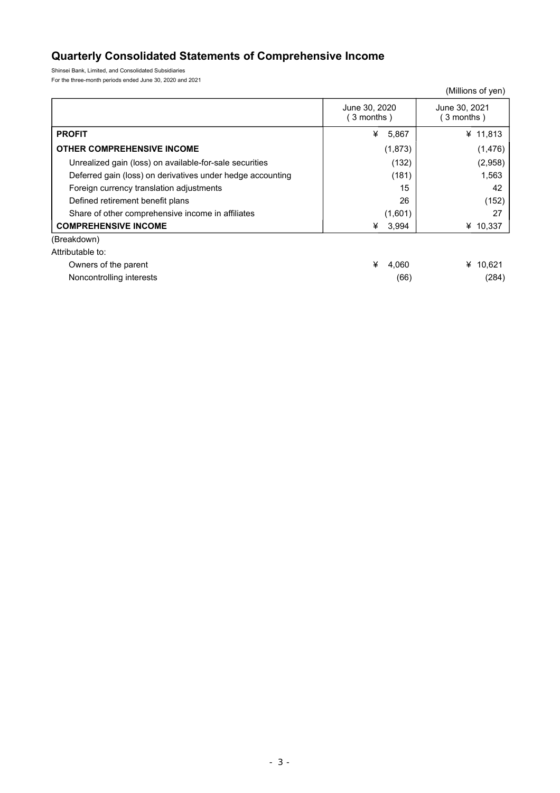## **Quarterly Consolidated Statements of Comprehensive Income**

Shinsei Bank, Limited, and Consolidated Subsidiaries For the three-month periods ended June 30, 2020 and 2021

|                                                            |                            | (Millions of yen)          |
|------------------------------------------------------------|----------------------------|----------------------------|
|                                                            | June 30, 2020<br>3 months) | June 30, 2021<br>3 months) |
| <b>PROFIT</b>                                              | ¥<br>5,867                 | ¥ 11,813                   |
| <b>OTHER COMPREHENSIVE INCOME</b>                          | (1,873)                    | (1, 476)                   |
| Unrealized gain (loss) on available-for-sale securities    | (132)                      | (2,958)                    |
| Deferred gain (loss) on derivatives under hedge accounting | (181)                      | 1,563                      |
| Foreign currency translation adjustments                   | 15                         | 42                         |
| Defined retirement benefit plans                           | 26                         | (152)                      |
| Share of other comprehensive income in affiliates          | (1,601)                    | 27                         |
| <b>COMPREHENSIVE INCOME</b>                                | 3,994<br>¥                 | ¥ $10,337$                 |
| (Breakdown)                                                |                            |                            |
| Attributable to:                                           |                            |                            |
| Owners of the parent                                       | ¥<br>4,060                 | ¥ 10,621                   |
| Noncontrolling interests                                   | (66)                       | (284)                      |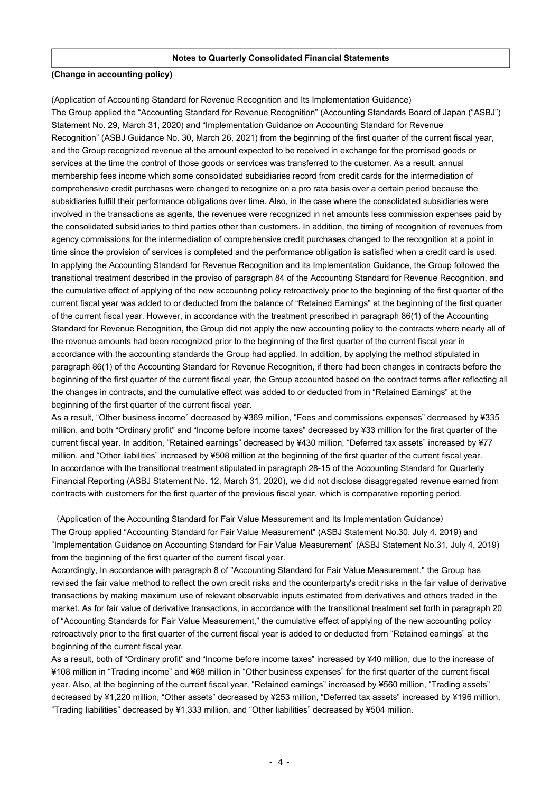#### **Notes to Quarterly Consolidated Financial Statements**

#### **(Change in accounting policy)**

(Application of Accounting Standard for Revenue Recognition and Its Implementation Guidance) The Group applied the "Accounting Standard for Revenue Recognition" (Accounting Standards Board of Japan ("ASBJ") Statement No. 29, March 31, 2020) and "Implementation Guidance on Accounting Standard for Revenue Recognition" (ASBJ Guidance No. 30, March 26, 2021) from the beginning of the first quarter of the current fiscal year, and the Group recognized revenue at the amount expected to be received in exchange for the promised goods or services at the time the control of those goods or services was transferred to the customer. As a result, annual membership fees income which some consolidated subsidiaries record from credit cards for the intermediation of comprehensive credit purchases were changed to recognize on a pro rata basis over a certain period because the subsidiaries fulfill their performance obligations over time. Also, in the case where the consolidated subsidiaries were involved in the transactions as agents, the revenues were recognized in net amounts less commission expenses paid by the consolidated subsidiaries to third parties other than customers. In addition, the timing of recognition of revenues from agency commissions for the intermediation of comprehensive credit purchases changed to the recognition at a point in time since the provision of services is completed and the performance obligation is satisfied when a credit card is used. In applying the Accounting Standard for Revenue Recognition and its Implementation Guidance, the Group followed the transitional treatment described in the proviso of paragraph 84 of the Accounting Standard for Revenue Recognition, and the cumulative effect of applying of the new accounting policy retroactively prior to the beginning of the first quarter of the current fiscal year was added to or deducted from the balance of "Retained Earnings" at the beginning of the first quarter of the current fiscal year. However, in accordance with the treatment prescribed in paragraph 86(1) of the Accounting Standard for Revenue Recognition, the Group did not apply the new accounting policy to the contracts where nearly all of the revenue amounts had been recognized prior to the beginning of the first quarter of the current fiscal year in accordance with the accounting standards the Group had applied. In addition, by applying the method stipulated in paragraph 86(1) of the Accounting Standard for Revenue Recognition, if there had been changes in contracts before the beginning of the first quarter of the current fiscal year, the Group accounted based on the contract terms after reflecting all the changes in contracts, and the cumulative effect was added to or deducted from in "Retained Earnings" at the beginning of the first quarter of the current fiscal year.

As a result, "Other business income" decreased by ¥369 million, "Fees and commissions expenses" decreased by ¥335 million, and both "Ordinary profit" and "Income before income taxes" decreased by ¥33 million for the first quarter of the current fiscal year. In addition, "Retained earnings" decreased by ¥430 million, "Deferred tax assets" increased by ¥77 million, and "Other liabilities" increased by ¥508 million at the beginning of the first quarter of the current fiscal year. In accordance with the transitional treatment stipulated in paragraph 28-15 of the Accounting Standard for Quarterly Financial Reporting (ASBJ Statement No. 12, March 31, 2020), we did not disclose disaggregated revenue earned from contracts with customers for the first quarter of the previous fiscal year, which is comparative reporting period.

(Application of the Accounting Standard for Fair Value Measurement and Its Implementation Guidance) The Group applied "Accounting Standard for Fair Value Measurement" (ASBJ Statement No.30, July 4, 2019) and "Implementation Guidance on Accounting Standard for Fair Value Measurement" (ASBJ Statement No.31, July 4, 2019) from the beginning of the first quarter of the current fiscal year.

Accordingly, In accordance with paragraph 8 of "Accounting Standard for Fair Value Measurement," the Group has revised the fair value method to reflect the own credit risks and the counterparty's credit risks in the fair value of derivative transactions by making maximum use of relevant observable inputs estimated from derivatives and others traded in the market. As for fair value of derivative transactions, in accordance with the transitional treatment set forth in paragraph 20 of "Accounting Standards for Fair Value Measurement," the cumulative effect of applying of the new accounting policy retroactively prior to the first quarter of the current fiscal year is added to or deducted from "Retained earnings" at the beginning of the current fiscal year.

As a result, both of "Ordinary profit" and "Income before income taxes" increased by ¥40 million, due to the increase of ¥108 million in "Trading income" and ¥68 million in "Other business expenses" for the first quarter of the current fiscal year. Also, at the beginning of the current fiscal year, "Retained earnings" increased by ¥560 million, "Trading assets" decreased by ¥1,220 million, "Other assets" decreased by ¥253 million, "Deferred tax assets" increased by ¥196 million, "Trading liabilities" decreased by ¥1,333 million, and "Other liabilities" decreased by ¥504 million.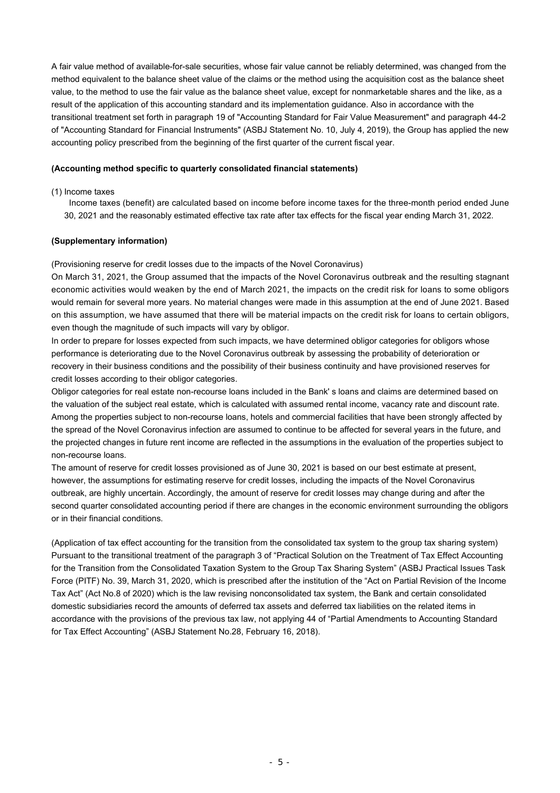A fair value method of available-for-sale securities, whose fair value cannot be reliably determined, was changed from the method equivalent to the balance sheet value of the claims or the method using the acquisition cost as the balance sheet value, to the method to use the fair value as the balance sheet value, except for nonmarketable shares and the like, as a result of the application of this accounting standard and its implementation guidance. Also in accordance with the transitional treatment set forth in paragraph 19 of "Accounting Standard for Fair Value Measurement" and paragraph 44-2 of "Accounting Standard for Financial Instruments" (ASBJ Statement No. 10, July 4, 2019), the Group has applied the new accounting policy prescribed from the beginning of the first quarter of the current fiscal year.

#### **(Accounting method specific to quarterly consolidated financial statements)**

#### (1) Income taxes

 Income taxes (benefit) are calculated based on income before income taxes for the three-month period ended June 30, 2021 and the reasonably estimated effective tax rate after tax effects for the fiscal year ending March 31, 2022.

#### **(Supplementary information)**

(Provisioning reserve for credit losses due to the impacts of the Novel Coronavirus)

On March 31, 2021, the Group assumed that the impacts of the Novel Coronavirus outbreak and the resulting stagnant economic activities would weaken by the end of March 2021, the impacts on the credit risk for loans to some obligors would remain for several more years. No material changes were made in this assumption at the end of June 2021. Based on this assumption, we have assumed that there will be material impacts on the credit risk for loans to certain obligors, even though the magnitude of such impacts will vary by obligor.

In order to prepare for losses expected from such impacts, we have determined obligor categories for obligors whose performance is deteriorating due to the Novel Coronavirus outbreak by assessing the probability of deterioration or recovery in their business conditions and the possibility of their business continuity and have provisioned reserves for credit losses according to their obligor categories.

Obligor categories for real estate non-recourse loans included in the Bank' s loans and claims are determined based on the valuation of the subject real estate, which is calculated with assumed rental income, vacancy rate and discount rate. Among the properties subject to non-recourse loans, hotels and commercial facilities that have been strongly affected by the spread of the Novel Coronavirus infection are assumed to continue to be affected for several years in the future, and the projected changes in future rent income are reflected in the assumptions in the evaluation of the properties subject to non-recourse loans.

The amount of reserve for credit losses provisioned as of June 30, 2021 is based on our best estimate at present, however, the assumptions for estimating reserve for credit losses, including the impacts of the Novel Coronavirus outbreak, are highly uncertain. Accordingly, the amount of reserve for credit losses may change during and after the second quarter consolidated accounting period if there are changes in the economic environment surrounding the obligors or in their financial conditions.

(Application of tax effect accounting for the transition from the consolidated tax system to the group tax sharing system) Pursuant to the transitional treatment of the paragraph 3 of "Practical Solution on the Treatment of Tax Effect Accounting for the Transition from the Consolidated Taxation System to the Group Tax Sharing System" (ASBJ Practical Issues Task Force (PITF) No. 39, March 31, 2020, which is prescribed after the institution of the "Act on Partial Revision of the Income Tax Act" (Act No.8 of 2020) which is the law revising nonconsolidated tax system, the Bank and certain consolidated domestic subsidiaries record the amounts of deferred tax assets and deferred tax liabilities on the related items in accordance with the provisions of the previous tax law, not applying 44 of "Partial Amendments to Accounting Standard for Tax Effect Accounting" (ASBJ Statement No.28, February 16, 2018).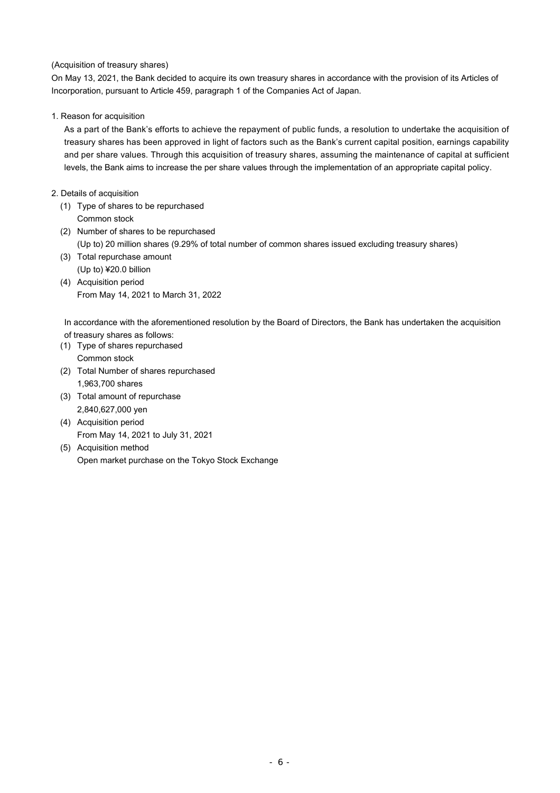#### (Acquisition of treasury shares)

On May 13, 2021, the Bank decided to acquire its own treasury shares in accordance with the provision of its Articles of Incorporation, pursuant to Article 459, paragraph 1 of the Companies Act of Japan.

#### 1. Reason for acquisition

As a part of the Bank's efforts to achieve the repayment of public funds, a resolution to undertake the acquisition of treasury shares has been approved in light of factors such as the Bank's current capital position, earnings capability and per share values. Through this acquisition of treasury shares, assuming the maintenance of capital at sufficient levels, the Bank aims to increase the per share values through the implementation of an appropriate capital policy.

#### 2. Details of acquisition

- (1) Type of shares to be repurchased Common stock
- (2) Number of shares to be repurchased (Up to) 20 million shares (9.29% of total number of common shares issued excluding treasury shares)
- (3) Total repurchase amount (Up to) ¥20.0 billion
- (4) Acquisition period From May 14, 2021 to March 31, 2022

In accordance with the aforementioned resolution by the Board of Directors, the Bank has undertaken the acquisition of treasury shares as follows:

- (1) Type of shares repurchased Common stock
- (2) Total Number of shares repurchased 1,963,700 shares
- (3) Total amount of repurchase 2,840,627,000 yen
- (4) Acquisition period From May 14, 2021 to July 31, 2021
- (5) Acquisition method Open market purchase on the Tokyo Stock Exchange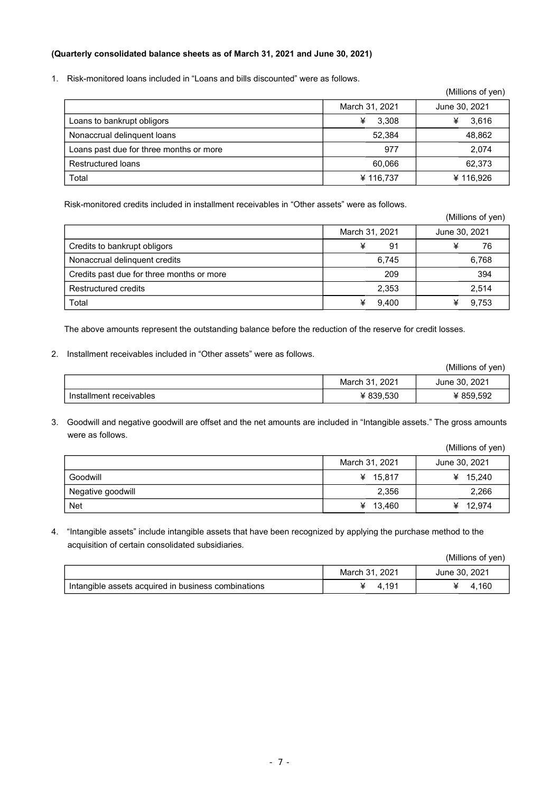#### **(Quarterly consolidated balance sheets as of March 31, 2021 and June 30, 2021)**

1. Risk-monitored loans included in "Loans and bills discounted" were as follows.

|                                         |                | (Millions of yen) |
|-----------------------------------------|----------------|-------------------|
|                                         | March 31, 2021 | June 30, 2021     |
| Loans to bankrupt obligors              | ¥<br>3.308     | 3,616             |
| Nonaccrual delinguent loans             | 52.384         | 48,862            |
| Loans past due for three months or more | 977            | 2,074             |
| Restructured loans                      | 60.066         | 62,373            |
| Total                                   | ¥ 116,737      | ¥116.926          |

Risk-monitored credits included in installment receivables in "Other assets" were as follows.

|                                           |                | (Millions of yen) |
|-------------------------------------------|----------------|-------------------|
|                                           | March 31, 2021 | June 30, 2021     |
| Credits to bankrupt obligors              | ¥<br>91        | 76<br>¥           |
| Nonaccrual delinguent credits             | 6.745          | 6,768             |
| Credits past due for three months or more | 209            | 394               |
| Restructured credits                      | 2,353          | 2,514             |
| Total                                     | 9,400<br>¥     | 9,753             |

The above amounts represent the outstanding balance before the reduction of the reserve for credit losses.

#### 2. Installment receivables included in "Other assets" were as follows.

|                         |                | (Millions of yen) |
|-------------------------|----------------|-------------------|
|                         | March 31, 2021 | June 30, 2021     |
| Installment receivables | ¥ 839.530      | ¥ 859,592         |

3. Goodwill and negative goodwill are offset and the net amounts are included in "Intangible assets." The gross amounts were as follows.

|                   |                | (Millions of yen) |
|-------------------|----------------|-------------------|
|                   | March 31, 2021 | June 30, 2021     |
| Goodwill          | ¥<br>15.817    | ¥ $15,240$        |
| Negative goodwill | 2,356          | 2,266             |
| <b>Net</b>        | 13,460<br>¥    | ¥ $12,974$        |

4. "Intangible assets" include intangible assets that have been recognized by applying the purchase method to the acquisition of certain consolidated subsidiaries.

|                                                     |                | (Millions of yen) |
|-----------------------------------------------------|----------------|-------------------|
|                                                     | March 31, 2021 | June 30, 2021     |
| Intangible assets acquired in business combinations | 4.191          | 4.160             |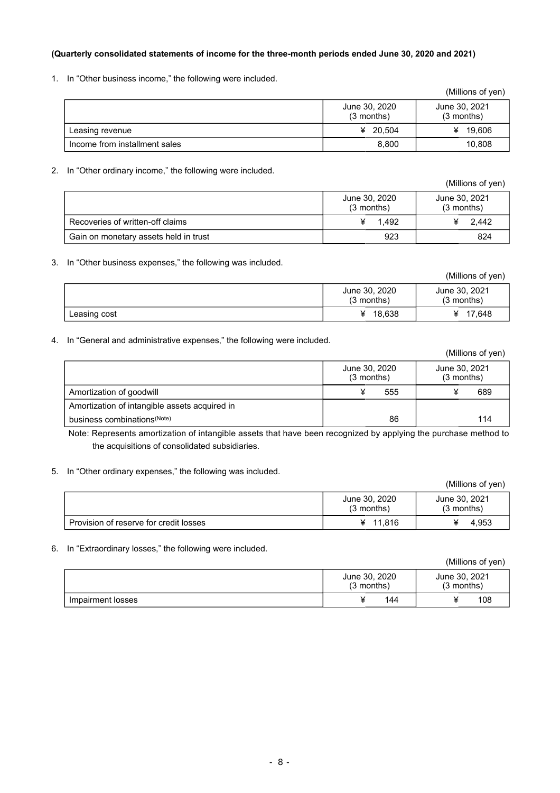#### **(Quarterly consolidated statements of income for the three-month periods ended June 30, 2020 and 2021)**

1. In "Other business income," the following were included.

|                               |                             | (Millions of yen)           |
|-------------------------------|-----------------------------|-----------------------------|
|                               | June 30, 2020<br>(3 months) | June 30, 2021<br>(3 months) |
| Leasing revenue               | ¥ 20.504                    | ¥ 19,606                    |
| Income from installment sales | 8.800                       | 10.808                      |

#### 2. In "Other ordinary income," the following were included.

(Millions of yen) June 30, 2020 (3 months) June 30, 2021 (3 months) Recoveries of written-off claims  $\overline{4}$  1,492  $\overline{4}$  2,442 Gain on monetary assets held in trust 824

3. In "Other business expenses," the following was included.

|              |                               | (Millions of yen)             |
|--------------|-------------------------------|-------------------------------|
|              | June 30, 2020<br>$(3$ months) | June 30, 2021<br>$(3$ months) |
| Leasing cost | 18,638                        | 17.648<br>¥                   |

#### 4. In "General and administrative expenses," the following were included.

|                                               |                               | (Millions of yen)             |
|-----------------------------------------------|-------------------------------|-------------------------------|
|                                               | June 30, 2020<br>$(3$ months) | June 30, 2021<br>$(3$ months) |
| Amortization of goodwill                      | 555                           | 689                           |
| Amortization of intangible assets acquired in |                               |                               |
| business combinations <sup>(Note)</sup>       | 86                            | 114                           |

Note: Represents amortization of intangible assets that have been recognized by applying the purchase method to the acquisitions of consolidated subsidiaries.

#### 5. In "Other ordinary expenses," the following was included.

|                                        |                             | (Millions of yen)             |
|----------------------------------------|-----------------------------|-------------------------------|
|                                        | June 30, 2020<br>(3 months) | June 30, 2021<br>$(3$ months) |
| Provision of reserve for credit losses | ¥ $11.816$                  | 4.953                         |

#### 6. In "Extraordinary losses," the following were included.

|                   |                             | (Millions of yen)           |
|-------------------|-----------------------------|-----------------------------|
|                   | June 30, 2020<br>(3 months) | June 30, 2021<br>(3 months) |
| Impairment losses | 144                         | 108                         |

| (Millions of yen) |  |  |
|-------------------|--|--|
|-------------------|--|--|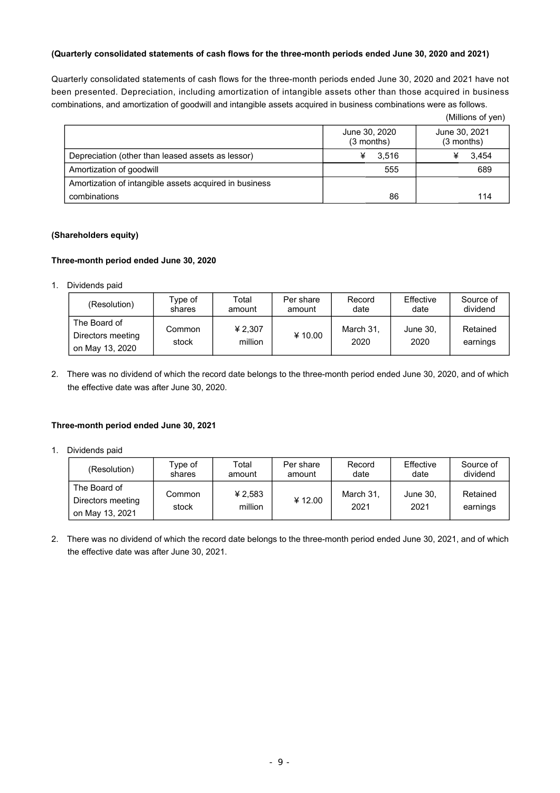#### **(Quarterly consolidated statements of cash flows for the three-month periods ended June 30, 2020 and 2021)**

Quarterly consolidated statements of cash flows for the three-month periods ended June 30, 2020 and 2021 have not been presented. Depreciation, including amortization of intangible assets other than those acquired in business combinations, and amortization of goodwill and intangible assets acquired in business combinations were as follows.

|                                                        |                               | (Millions of yen)             |
|--------------------------------------------------------|-------------------------------|-------------------------------|
|                                                        | June 30, 2020<br>$(3$ months) | June 30, 2021<br>$(3$ months) |
| Depreciation (other than leased assets as lessor)      | 3.516<br>¥                    | 3.454                         |
| Amortization of goodwill                               | 555                           | 689                           |
| Amortization of intangible assets acquired in business |                               |                               |
| combinations                                           | 86                            | 114                           |

### **(Shareholders equity)**

#### **Three-month period ended June 30, 2020**

1. Dividends paid

| (Resolution)                                         | Type of         | Total              | Per share | Record            | Effective        | Source of            |
|------------------------------------------------------|-----------------|--------------------|-----------|-------------------|------------------|----------------------|
|                                                      | shares          | amount             | amount    | date              | date             | dividend             |
| The Board of<br>Directors meeting<br>on May 13, 2020 | Common<br>stock | ¥ 2.307<br>million | ¥10.00    | March 31,<br>2020 | June 30,<br>2020 | Retained<br>earnings |

2. There was no dividend of which the record date belongs to the three-month period ended June 30, 2020, and of which the effective date was after June 30, 2020.

#### **Three-month period ended June 30, 2021**

1. Dividends paid

| (Resolution)                                         | Type of         | Total              | Per share | Record            | Effective        | Source of            |
|------------------------------------------------------|-----------------|--------------------|-----------|-------------------|------------------|----------------------|
|                                                      | shares          | amount             | amount    | date              | date             | dividend             |
| The Board of<br>Directors meeting<br>on May 13, 2021 | Common<br>stock | ¥ 2,583<br>million | ¥ 12.00   | March 31,<br>2021 | June 30,<br>2021 | Retained<br>earnings |

2. There was no dividend of which the record date belongs to the three-month period ended June 30, 2021, and of which the effective date was after June 30, 2021.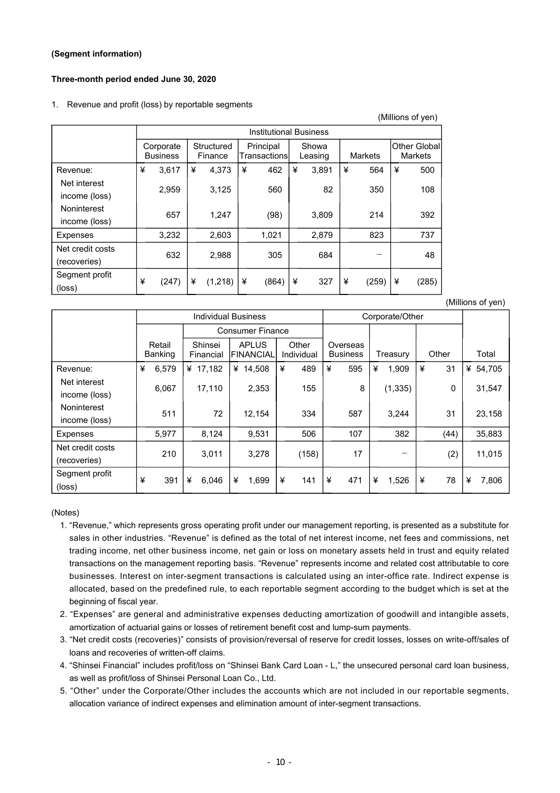#### **(Segment information)**

#### **Three-month period ended June 30, 2020**

#### 1. Revenue and profit (loss) by reportable segments

|                                  |   | <b>Institutional Business</b> |   |                       |   |                            |   |                  |   |         |   |                                 |
|----------------------------------|---|-------------------------------|---|-----------------------|---|----------------------------|---|------------------|---|---------|---|---------------------------------|
|                                  |   | Corporate<br><b>Business</b>  |   | Structured<br>Finance |   | Principal<br>Transactionsl |   | Showa<br>Leasing |   | Markets |   | Other Globall<br><b>Markets</b> |
| Revenue:                         | ¥ | 3.617                         | ¥ | 4.373                 | ¥ | 462                        | ¥ | 3,891            | ¥ | 564     | ¥ | 500                             |
| Net interest<br>income (loss)    |   | 2,959                         |   | 3,125                 |   | 560                        |   | 82               |   | 350     |   | 108                             |
| Noninterest<br>income (loss)     |   | 657                           |   | 1,247                 |   | (98)                       |   | 3,809            |   | 214     |   | 392                             |
| Expenses                         |   | 3,232                         |   | 2,603                 |   | 1,021                      |   | 2,879            |   | 823     |   | 737                             |
| Net credit costs<br>(recoveries) |   | 632                           |   | 2,988                 |   | 305                        |   | 684              |   |         |   | 48                              |
| Segment profit<br>(loss)         | ¥ | (247)                         | ¥ | (1,218)               | ¥ | (864)                      | ¥ | 327              | ¥ | (259)   | ¥ | (285)                           |

Individual Business **Corporate**/Other Consumer Finance Retail Banking Shinsei Financial **APLUS** FINANCIAL **Other** Individual Overseas<br>Business Treasury Other Total Revenue: ¥ 6,579 ¥ 17,182 ¥ 14,508 ¥ 489 ¥ 595 ¥ 1,909 ¥ 31 ¥ 54,705 Net interest income (loss) 6,067 | 17,110 | 2,353 | 155 | 8 | (1,335) | 0 | 31,547 Noninterest income (loss) 511 72 12,154 334 587 3,244 31 23,158 Expenses | 5,977 | 8,124 | 9,531 | 506 | 107 | 382 | (44) | 35,883 Net credit costs (recoveries) 210 | 3,011 | 3,278 | (158) | 17 | | (2) | 11,015 Segment profit (loss) ¥ 391 ¥ 6,046 ¥ 1,699 ¥ 141 ¥ 471 ¥ 1,526 ¥ 78 ¥ 7,806

(Notes)

- 1. "Revenue," which represents gross operating profit under our management reporting, is presented as a substitute for sales in other industries. "Revenue" is defined as the total of net interest income, net fees and commissions, net trading income, net other business income, net gain or loss on monetary assets held in trust and equity related transactions on the management reporting basis. "Revenue" represents income and related cost attributable to core businesses. Interest on inter-segment transactions is calculated using an inter-office rate. Indirect expense is allocated, based on the predefined rule, to each reportable segment according to the budget which is set at the beginning of fiscal year.
- 2. "Expenses" are general and administrative expenses deducting amortization of goodwill and intangible assets, amortization of actuarial gains or losses of retirement benefit cost and lump-sum payments.
- 3. "Net credit costs (recoveries)" consists of provision/reversal of reserve for credit losses, losses on write-off/sales of loans and recoveries of written-off claims.
- 4. "Shinsei Financial" includes profit/loss on "Shinsei Bank Card Loan L," the unsecured personal card loan business, as well as profit/loss of Shinsei Personal Loan Co., Ltd.
- 5. "Other" under the Corporate/Other includes the accounts which are not included in our reportable segments, allocation variance of indirect expenses and elimination amount of inter-segment transactions.

(Millions of yen)

(Millions of yen)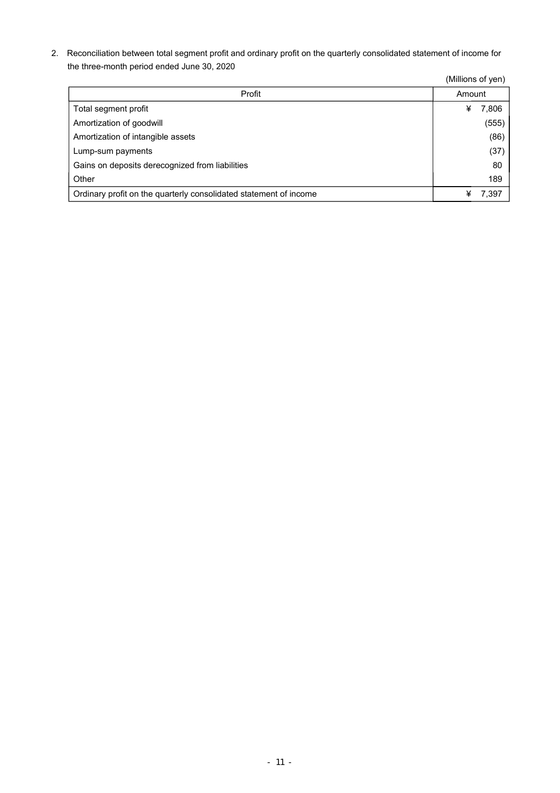2. Reconciliation between total segment profit and ordinary profit on the quarterly consolidated statement of income for the three-month period ended June 30, 2020

|                                                                   | (Millions of yen) |       |
|-------------------------------------------------------------------|-------------------|-------|
| Profit                                                            | Amount            |       |
| Total segment profit                                              | ¥                 | 7,806 |
| Amortization of goodwill                                          |                   | (555) |
| Amortization of intangible assets                                 |                   | (86)  |
| Lump-sum payments                                                 |                   | (37)  |
| Gains on deposits derecognized from liabilities                   |                   | 80    |
| Other                                                             |                   | 189   |
| Ordinary profit on the quarterly consolidated statement of income |                   | 7,397 |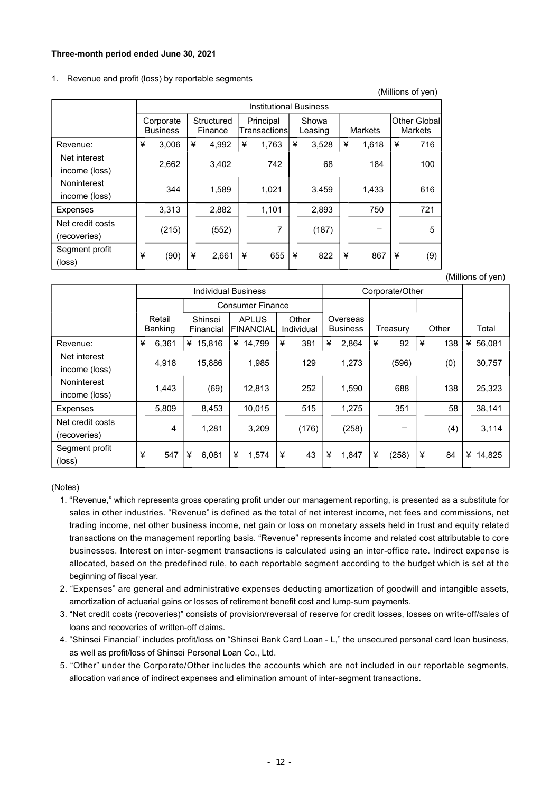#### **Three-month period ended June 30, 2021**

#### 1. Revenue and profit (loss) by reportable segments

|                                   |   | <b>Institutional Business</b> |                       |       |                            |       |                                    |       |   |       |   |     |                                        |
|-----------------------------------|---|-------------------------------|-----------------------|-------|----------------------------|-------|------------------------------------|-------|---|-------|---|-----|----------------------------------------|
|                                   |   | Corporate<br><b>Business</b>  | Structured<br>Finance |       | Principal<br>Transactionsl |       | Showa<br><b>Markets</b><br>Leasing |       |   |       |   |     | <b>Other Globall</b><br><b>Markets</b> |
| Revenue:                          | ¥ | 3,006                         | ¥                     | 4.992 | ¥                          | 1,763 | ¥                                  | 3,528 | ¥ | 1,618 | ¥ | 716 |                                        |
| Net interest<br>income (loss)     |   | 2,662                         |                       | 3,402 |                            | 742   |                                    | 68    |   | 184   |   | 100 |                                        |
| Noninterest<br>income (loss)      |   | 344                           |                       | 1,589 |                            | 1,021 |                                    | 3,459 |   | 1,433 |   | 616 |                                        |
| <b>Expenses</b>                   |   | 3,313                         |                       | 2,882 |                            | 1,101 |                                    | 2,893 |   | 750   |   | 721 |                                        |
| Net credit costs<br>(recoveries)  |   | (215)                         |                       | (552) |                            | 7     |                                    | (187) |   |       |   | 5   |                                        |
| Segment profit<br>$(\text{loss})$ | ¥ | (90)                          | ¥                     | 2,661 | ¥                          | 655   | ¥                                  | 822   | ¥ | 867   | ¥ | (9) |                                        |

(Millions of yen)

(Millions of yen)

|                                  |   |                          | <b>Individual Business</b> |   |                            |   |                     | Corporate/Other |                             |   |          |   |       |   |          |
|----------------------------------|---|--------------------------|----------------------------|---|----------------------------|---|---------------------|-----------------|-----------------------------|---|----------|---|-------|---|----------|
|                                  |   |                          |                            |   | <b>Consumer Finance</b>    |   |                     |                 |                             |   |          |   |       |   |          |
|                                  |   | Retail<br><b>Banking</b> | Shinsei<br>Financial       |   | <b>APLUS</b><br>IFINANCIAL |   | Other<br>Individual |                 | Overseas<br><b>Business</b> |   | Treasury |   | Other |   | Total    |
| Revenue:                         | ¥ | 6,361                    | ¥ $15.816$                 | ¥ | 14,799                     | ¥ | 381                 | ¥               | 2,864                       | ¥ | 92       | ¥ | 138   |   | ¥ 56.081 |
| Net interest<br>income (loss)    |   | 4,918                    | 15,886                     |   | 1,985                      |   | 129                 |                 | 1,273                       |   | (596)    |   | (0)   |   | 30,757   |
| Noninterest<br>income (loss)     |   | 1,443                    | (69)                       |   | 12,813                     |   | 252                 |                 | 1,590                       |   | 688      |   | 138   |   | 25,323   |
| Expenses                         |   | 5,809                    | 8,453                      |   | 10,015                     |   | 515                 |                 | 1,275                       |   | 351      |   | 58    |   | 38,141   |
| Net credit costs<br>(recoveries) |   | 4                        | 1,281                      |   | 3,209                      |   | (176)               |                 | (258)                       |   |          |   | (4)   |   | 3,114    |
| Segment profit<br>(loss)         | ¥ | 547                      | ¥<br>6,081                 | ¥ | 1,574                      | ¥ | 43                  | ¥               | 1,847                       | ¥ | (258)    | ¥ | 84    | ¥ | 14,825   |

(Notes)

- 1. "Revenue," which represents gross operating profit under our management reporting, is presented as a substitute for sales in other industries. "Revenue" is defined as the total of net interest income, net fees and commissions, net trading income, net other business income, net gain or loss on monetary assets held in trust and equity related transactions on the management reporting basis. "Revenue" represents income and related cost attributable to core businesses. Interest on inter-segment transactions is calculated using an inter-office rate. Indirect expense is allocated, based on the predefined rule, to each reportable segment according to the budget which is set at the beginning of fiscal year.
- 2. "Expenses" are general and administrative expenses deducting amortization of goodwill and intangible assets, amortization of actuarial gains or losses of retirement benefit cost and lump-sum payments.
- 3. "Net credit costs (recoveries)" consists of provision/reversal of reserve for credit losses, losses on write-off/sales of loans and recoveries of written-off claims.
- 4. "Shinsei Financial" includes profit/loss on "Shinsei Bank Card Loan L," the unsecured personal card loan business, as well as profit/loss of Shinsei Personal Loan Co., Ltd.
- 5. "Other" under the Corporate/Other includes the accounts which are not included in our reportable segments, allocation variance of indirect expenses and elimination amount of inter-segment transactions.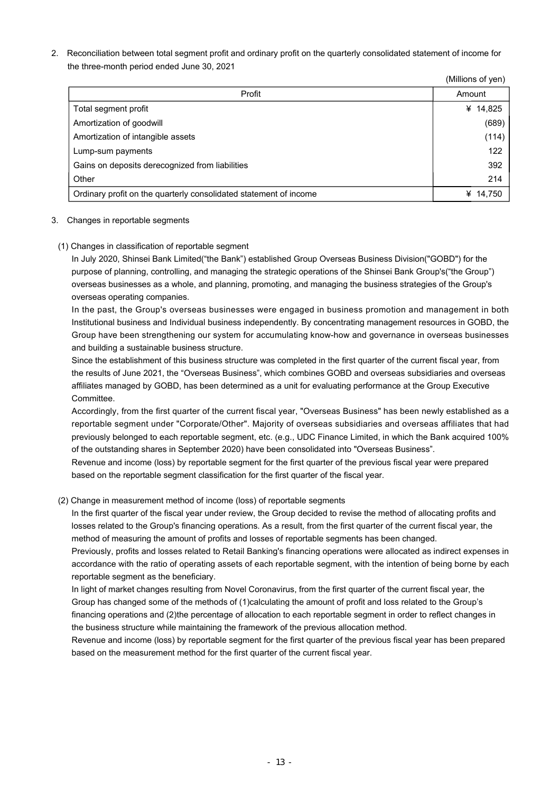2. Reconciliation between total segment profit and ordinary profit on the quarterly consolidated statement of income for the three-month period ended June 30, 2021

|                                                                   | (Millions of yen) |
|-------------------------------------------------------------------|-------------------|
| Profit                                                            | Amount            |
| Total segment profit                                              | ¥ $14,825$        |
| Amortization of goodwill                                          | (689)             |
| Amortization of intangible assets                                 | (114)             |
| Lump-sum payments                                                 | 122               |
| Gains on deposits derecognized from liabilities                   | 392               |
| Other                                                             | 214               |
| Ordinary profit on the quarterly consolidated statement of income | 14,750<br>¥       |

#### 3. Changes in reportable segments

(1) Changes in classification of reportable segment

In July 2020, Shinsei Bank Limited("the Bank") established Group Overseas Business Division("GOBD") for the purpose of planning, controlling, and managing the strategic operations of the Shinsei Bank Group's("the Group") overseas businesses as a whole, and planning, promoting, and managing the business strategies of the Group's overseas operating companies.

In the past, the Group's overseas businesses were engaged in business promotion and management in both Institutional business and Individual business independently. By concentrating management resources in GOBD, the Group have been strengthening our system for accumulating know-how and governance in overseas businesses and building a sustainable business structure.

Since the establishment of this business structure was completed in the first quarter of the current fiscal year, from the results of June 2021, the "Overseas Business", which combines GOBD and overseas subsidiaries and overseas affiliates managed by GOBD, has been determined as a unit for evaluating performance at the Group Executive Committee.

Accordingly, from the first quarter of the current fiscal year, "Overseas Business" has been newly established as a reportable segment under "Corporate/Other". Majority of overseas subsidiaries and overseas affiliates that had previously belonged to each reportable segment, etc. (e.g., UDC Finance Limited, in which the Bank acquired 100% of the outstanding shares in September 2020) have been consolidated into "Overseas Business".

Revenue and income (loss) by reportable segment for the first quarter of the previous fiscal year were prepared based on the reportable segment classification for the first quarter of the fiscal year.

#### (2) Change in measurement method of income (loss) of reportable segments

In the first quarter of the fiscal year under review, the Group decided to revise the method of allocating profits and losses related to the Group's financing operations. As a result, from the first quarter of the current fiscal year, the method of measuring the amount of profits and losses of reportable segments has been changed.

Previously, profits and losses related to Retail Banking's financing operations were allocated as indirect expenses in accordance with the ratio of operating assets of each reportable segment, with the intention of being borne by each reportable segment as the beneficiary.

In light of market changes resulting from Novel Coronavirus, from the first quarter of the current fiscal year, the Group has changed some of the methods of (1)calculating the amount of profit and loss related to the Group's financing operations and (2)the percentage of allocation to each reportable segment in order to reflect changes in the business structure while maintaining the framework of the previous allocation method.

Revenue and income (loss) by reportable segment for the first quarter of the previous fiscal year has been prepared based on the measurement method for the first quarter of the current fiscal year.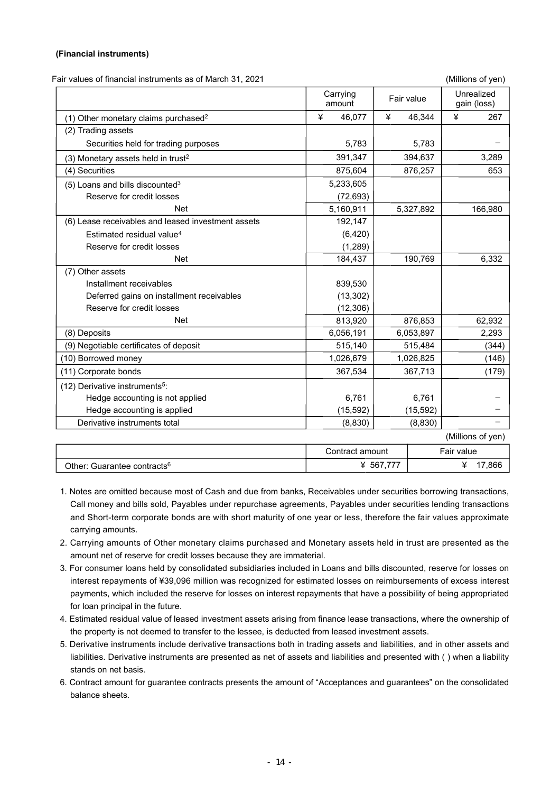#### **(Financial instruments)**

Fair values of financial instruments as of March 31, 2021 (Millions of yen)

|                                                    | Carrying<br>amount | Fair value  | Unrealized<br>gain (loss) |
|----------------------------------------------------|--------------------|-------------|---------------------------|
| (1) Other monetary claims purchased <sup>2</sup>   | 46,077<br>¥        | 46,344<br>¥ | ¥<br>267                  |
| (2) Trading assets                                 |                    |             |                           |
| Securities held for trading purposes               | 5,783              | 5,783       |                           |
| (3) Monetary assets held in trust <sup>2</sup>     | 391,347            | 394,637     | 3,289                     |
| (4) Securities                                     | 875,604            | 876,257     | 653                       |
| $(5)$ Loans and bills discounted <sup>3</sup>      | 5,233,605          |             |                           |
| Reserve for credit losses                          | (72, 693)          |             |                           |
| <b>Net</b>                                         | 5,160,911          | 5,327,892   | 166,980                   |
| (6) Lease receivables and leased investment assets | 192,147            |             |                           |
| Estimated residual value <sup>4</sup>              | (6, 420)           |             |                           |
| Reserve for credit losses                          | (1, 289)           |             |                           |
| <b>Net</b>                                         | 184,437            | 190,769     | 6,332                     |
| (7) Other assets                                   |                    |             |                           |
| Installment receivables                            | 839,530            |             |                           |
| Deferred gains on installment receivables          | (13, 302)          |             |                           |
| Reserve for credit losses                          | (12, 306)          |             |                           |
| <b>Net</b>                                         | 813,920            | 876,853     | 62,932                    |
| (8) Deposits                                       | 6,056,191          | 6,053,897   | 2,293                     |
| (9) Negotiable certificates of deposit             | 515,140            | 515,484     | (344)                     |
| (10) Borrowed money                                | 1,026,679          | 1,026,825   | (146)                     |
| (11) Corporate bonds                               | 367,534            | 367,713     | (179)                     |
| (12) Derivative instruments <sup>5</sup> :         |                    |             |                           |
| Hedge accounting is not applied                    | 6.761              | 6.761       |                           |
| Hedge accounting is applied                        | (15, 592)          | (15, 592)   |                           |
| Derivative instruments total                       | (8, 830)           | (8, 830)    |                           |
|                                                    |                    |             | (Millions of yen)         |

|                                         | Contract amount | Fair value      |
|-----------------------------------------|-----------------|-----------------|
| Other: Guarantee contracts <sup>6</sup> | ラララ<br>່ 567.   | $^{\circ}$ .866 |

- 1. Notes are omitted because most of Cash and due from banks, Receivables under securities borrowing transactions, Call money and bills sold, Payables under repurchase agreements, Payables under securities lending transactions and Short-term corporate bonds are with short maturity of one year or less, therefore the fair values approximate carrying amounts.
- 2. Carrying amounts of Other monetary claims purchased and Monetary assets held in trust are presented as the amount net of reserve for credit losses because they are immaterial.
- 3. For consumer loans held by consolidated subsidiaries included in Loans and bills discounted, reserve for losses on interest repayments of ¥39,096 million was recognized for estimated losses on reimbursements of excess interest payments, which included the reserve for losses on interest repayments that have a possibility of being appropriated for loan principal in the future.
- 4. Estimated residual value of leased investment assets arising from finance lease transactions, where the ownership of the property is not deemed to transfer to the lessee, is deducted from leased investment assets.
- 5. Derivative instruments include derivative transactions both in trading assets and liabilities, and in other assets and liabilities. Derivative instruments are presented as net of assets and liabilities and presented with ( ) when a liability stands on net basis.
- 6. Contract amount for guarantee contracts presents the amount of "Acceptances and guarantees" on the consolidated balance sheets.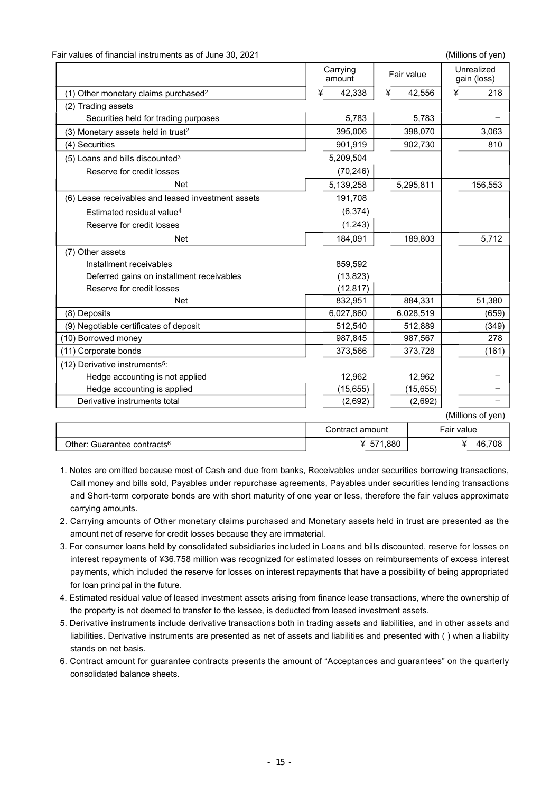| Fair values of financial instruments as of June 30, 2021 |  |  |
|----------------------------------------------------------|--|--|
|----------------------------------------------------------|--|--|

(Millions of yen)

|                                                    | Carrying<br>amount | Fair value |           |            | Unrealized<br>gain (loss) |
|----------------------------------------------------|--------------------|------------|-----------|------------|---------------------------|
| (1) Other monetary claims purchased <sup>2</sup>   | ¥<br>42,338        | ¥          | 42,556    | ¥          | 218                       |
| (2) Trading assets                                 |                    |            |           |            |                           |
| Securities held for trading purposes               | 5,783              |            | 5,783     |            |                           |
| (3) Monetary assets held in trust <sup>2</sup>     | 395,006            |            | 398,070   |            | 3,063                     |
| (4) Securities                                     | 901,919            |            | 902,730   |            | 810                       |
| $(5)$ Loans and bills discounted <sup>3</sup>      | 5,209,504          |            |           |            |                           |
| Reserve for credit losses                          | (70, 246)          |            |           |            |                           |
| <b>Net</b>                                         | 5,139,258          |            | 5,295,811 |            | 156,553                   |
| (6) Lease receivables and leased investment assets | 191,708            |            |           |            |                           |
| Estimated residual value <sup>4</sup>              | (6, 374)           |            |           |            |                           |
| Reserve for credit losses                          | (1, 243)           |            |           |            |                           |
| <b>Net</b>                                         | 184,091            |            | 189,803   |            | 5,712                     |
| (7) Other assets                                   |                    |            |           |            |                           |
| Installment receivables                            | 859,592            |            |           |            |                           |
| Deferred gains on installment receivables          | (13, 823)          |            |           |            |                           |
| Reserve for credit losses                          | (12, 817)          |            |           |            |                           |
| <b>Net</b>                                         | 832,951            |            | 884,331   |            | 51,380                    |
| (8) Deposits                                       | 6,027,860          |            | 6,028,519 |            | (659)                     |
| (9) Negotiable certificates of deposit             | 512,540            |            | 512,889   |            | (349)                     |
| (10) Borrowed money                                | 987,845            |            | 987,567   |            | 278                       |
| (11) Corporate bonds                               | 373,566            |            | 373,728   |            | (161)                     |
| (12) Derivative instruments <sup>5</sup> :         |                    |            |           |            |                           |
| Hedge accounting is not applied                    | 12,962             |            | 12,962    |            |                           |
| Hedge accounting is applied                        | (15, 655)          |            | (15, 655) |            |                           |
| Derivative instruments total                       | (2,692)            |            | (2,692)   |            |                           |
|                                                    |                    |            |           |            | (Millions of yen)         |
|                                                    | Contract amount    |            |           | Fair value |                           |
| Other: Guarantee contracts <sup>6</sup>            |                    | ¥ 571,880  |           |            | ¥ 46,708                  |

- 1. Notes are omitted because most of Cash and due from banks, Receivables under securities borrowing transactions, Call money and bills sold, Payables under repurchase agreements, Payables under securities lending transactions and Short-term corporate bonds are with short maturity of one year or less, therefore the fair values approximate carrying amounts.
- 2. Carrying amounts of Other monetary claims purchased and Monetary assets held in trust are presented as the amount net of reserve for credit losses because they are immaterial.
- 3. For consumer loans held by consolidated subsidiaries included in Loans and bills discounted, reserve for losses on interest repayments of ¥36,758 million was recognized for estimated losses on reimbursements of excess interest payments, which included the reserve for losses on interest repayments that have a possibility of being appropriated for loan principal in the future.
- 4. Estimated residual value of leased investment assets arising from finance lease transactions, where the ownership of the property is not deemed to transfer to the lessee, is deducted from leased investment assets.
- 5. Derivative instruments include derivative transactions both in trading assets and liabilities, and in other assets and liabilities. Derivative instruments are presented as net of assets and liabilities and presented with ( ) when a liability stands on net basis.
- 6. Contract amount for guarantee contracts presents the amount of "Acceptances and guarantees" on the quarterly consolidated balance sheets.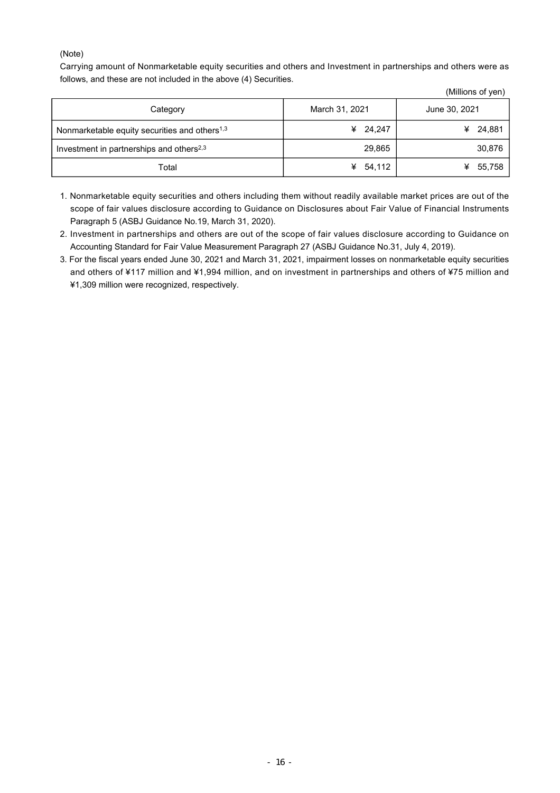#### (Note)

Carrying amount of Nonmarketable equity securities and others and Investment in partnerships and others were as follows, and these are not included in the above (4) Securities.

|                                                           |                | (Millions of yen) |
|-----------------------------------------------------------|----------------|-------------------|
| Category                                                  | March 31, 2021 | June 30, 2021     |
| Nonmarketable equity securities and others <sup>1,3</sup> | ¥ $24,247$     | 24,881<br>¥       |
| Investment in partnerships and others <sup>2,3</sup>      | 29,865         | 30,876            |
| Total                                                     | 54,112<br>¥    | 55,758<br>¥       |

- 1. Nonmarketable equity securities and others including them without readily available market prices are out of the scope of fair values disclosure according to Guidance on Disclosures about Fair Value of Financial Instruments Paragraph 5 (ASBJ Guidance No.19, March 31, 2020).
- 2. Investment in partnerships and others are out of the scope of fair values disclosure according to Guidance on Accounting Standard for Fair Value Measurement Paragraph 27 (ASBJ Guidance No.31, July 4, 2019).
- 3. For the fiscal years ended June 30, 2021 and March 31, 2021, impairment losses on nonmarketable equity securities and others of ¥117 million and ¥1,994 million, and on investment in partnerships and others of ¥75 million and ¥1,309 million were recognized, respectively.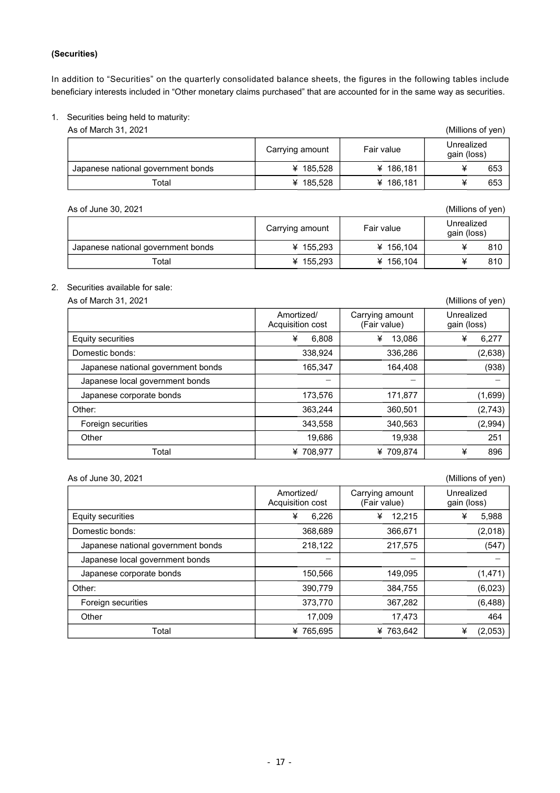#### **(Securities)**

In addition to "Securities" on the quarterly consolidated balance sheets, the figures in the following tables include beneficiary interests included in "Other monetary claims purchased" that are accounted for in the same way as securities.

#### 1. Securities being held to maturity:

As of March 31, 2021 (Millions of yen)

|                                    | Fair value<br>Carrying amount |           | Unrealized<br>gain (loss) |  |  |
|------------------------------------|-------------------------------|-----------|---------------------------|--|--|
| Japanese national government bonds | ¥ 185.528                     | ¥ 186,181 | 653                       |  |  |
| Total                              | ¥ 185.528                     | ¥ 186,181 | 653                       |  |  |

| (Millions of yen)<br>As of June 30, 2021 |                 |           |                           |  |  |
|------------------------------------------|-----------------|-----------|---------------------------|--|--|
|                                          | Carrying amount |           | Unrealized<br>gain (loss) |  |  |
| Japanese national government bonds       | ¥ 155.293       | ¥ 156,104 | 810                       |  |  |
| Total                                    | ¥ 155.293       | ¥ 156,104 | 810                       |  |  |

#### 2. Securities available for sale:

As of March 31, 2021 (Millions of yen)

| ו בשב, וט וויומוניונט כרו          |                                |                                 | וויואן וט טווטווויוויוויוו |
|------------------------------------|--------------------------------|---------------------------------|----------------------------|
|                                    | Amortized/<br>Acquisition cost | Carrying amount<br>(Fair value) | Unrealized<br>gain (loss)  |
| <b>Equity securities</b>           | ¥<br>6,808                     | ¥<br>13,086                     | ¥<br>6,277                 |
| Domestic bonds:                    | 338,924                        | 336,286                         | (2,638)                    |
| Japanese national government bonds | 165,347                        | 164.408                         | (938)                      |
| Japanese local government bonds    | -                              |                                 |                            |
| Japanese corporate bonds           | 173,576                        | 171,877                         | (1,699)                    |
| Other:                             | 363,244                        | 360.501                         | (2,743)                    |
| Foreign securities                 | 343,558                        | 340,563                         | (2,994)                    |
| Other                              | 19.686                         | 19.938                          | 251                        |
| Total                              | ¥ 708,977                      | ¥709.874                        | ¥<br>896                   |

#### As of June 30, 2021 (Millions of yen) Amortized/ Acquisition cost Carrying amount (Fair value) Unrealized gain (loss) Equity securities ¥ 6,226 ¥ 12,215 ¥ 5,988 Domestic bonds: 2,018 Japanese national government bonds  $\vert$  218,122  $\vert$  217,575 (547) Japanese local government bonds Japanese corporate bonds  $\vert$  150,566  $\vert$  149,095 (1,471) Other: 390,779 | 384,755 | (6,023) Foreign securities **1873 1872 1888 1873,770 1888 1888 1888 1888 1888 1888 1888 1888 1889 1889 1889 1889 1889 1889 1889 1889 1889 1889 1889 1889 1889 1889 1889 1889 18** Other 17,009 17,473 464 Total  $\begin{array}{|c|c|c|c|c|c|}\n\hline\n&&\# & 765,695 &\# & 763,642 &\# & (2,053)\n\hline\n\end{array}$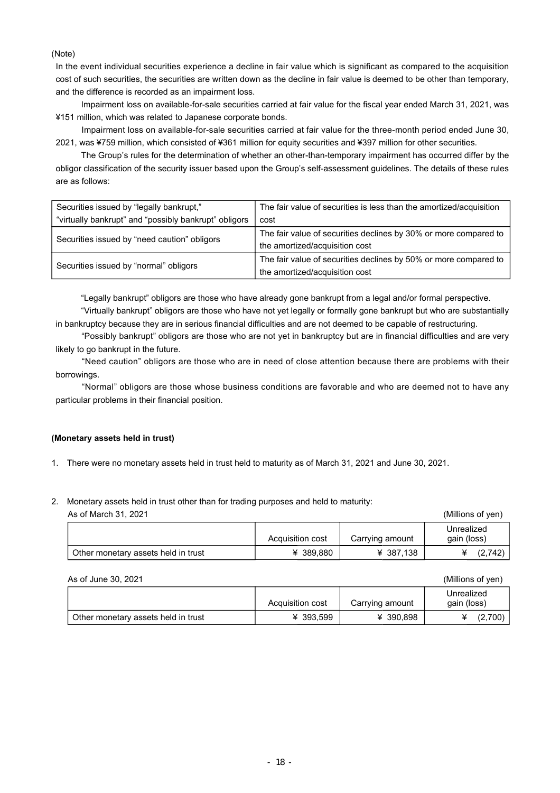(Note)

In the event individual securities experience a decline in fair value which is significant as compared to the acquisition cost of such securities, the securities are written down as the decline in fair value is deemed to be other than temporary, and the difference is recorded as an impairment loss.

Impairment loss on available-for-sale securities carried at fair value for the fiscal year ended March 31, 2021, was ¥151 million, which was related to Japanese corporate bonds.

 Impairment loss on available-for-sale securities carried at fair value for the three-month period ended June 30, 2021, was ¥759 million, which consisted of ¥361 million for equity securities and ¥397 million for other securities.

 The Group's rules for the determination of whether an other-than-temporary impairment has occurred differ by the obligor classification of the security issuer based upon the Group's self-assessment guidelines. The details of these rules are as follows:

| Securities issued by "legally bankrupt,"              | The fair value of securities is less than the amortized/acquisition |
|-------------------------------------------------------|---------------------------------------------------------------------|
| "virtually bankrupt" and "possibly bankrupt" obligors | cost                                                                |
| Securities issued by "need caution" obligors          | The fair value of securities declines by 30% or more compared to    |
|                                                       | the amortized/acquisition cost                                      |
| Securities issued by "normal" obligors                | The fair value of securities declines by 50% or more compared to    |
|                                                       | the amortized/acquisition cost                                      |

"Legally bankrupt" obligors are those who have already gone bankrupt from a legal and/or formal perspective.

 "Virtually bankrupt" obligors are those who have not yet legally or formally gone bankrupt but who are substantially in bankruptcy because they are in serious financial difficulties and are not deemed to be capable of restructuring.

 "Possibly bankrupt" obligors are those who are not yet in bankruptcy but are in financial difficulties and are very likely to go bankrupt in the future.

"Need caution" obligors are those who are in need of close attention because there are problems with their borrowings.

"Normal" obligors are those whose business conditions are favorable and who are deemed not to have any particular problems in their financial position.

#### **(Monetary assets held in trust)**

- 1. There were no monetary assets held in trust held to maturity as of March 31, 2021 and June 30, 2021.
- 2. Monetary assets held in trust other than for trading purposes and held to maturity:

| As of March 31, 2021                |                  |                 | (Millions of yen)         |
|-------------------------------------|------------------|-----------------|---------------------------|
|                                     | Acquisition cost | Carrying amount | Unrealized<br>gain (loss) |
| Other monetary assets held in trust | ¥ 389.880        | ¥ 387.138       | (2,742)                   |

#### As of June 30, 2021 (Millions of yen)

|                                     | Acquisition cost | Carrying amount | Unrealized<br>gain (loss) |
|-------------------------------------|------------------|-----------------|---------------------------|
| Other monetary assets held in trust | ¥ 393.599        | ¥ 390.898       | (2,700)                   |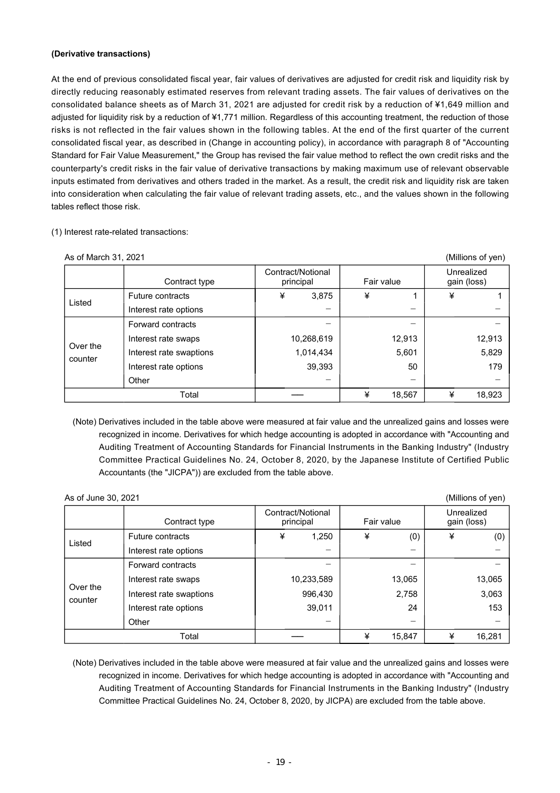#### **(Derivative transactions)**

At the end of previous consolidated fiscal year, fair values of derivatives are adjusted for credit risk and liquidity risk by directly reducing reasonably estimated reserves from relevant trading assets. The fair values of derivatives on the consolidated balance sheets as of March 31, 2021 are adjusted for credit risk by a reduction of ¥1,649 million and adjusted for liquidity risk by a reduction of ¥1,771 million. Regardless of this accounting treatment, the reduction of those risks is not reflected in the fair values shown in the following tables. At the end of the first quarter of the current consolidated fiscal year, as described in (Change in accounting policy), in accordance with paragraph 8 of "Accounting Standard for Fair Value Measurement," the Group has revised the fair value method to reflect the own credit risks and the counterparty's credit risks in the fair value of derivative transactions by making maximum use of relevant observable inputs estimated from derivatives and others traded in the market. As a result, the credit risk and liquidity risk are taken into consideration when calculating the fair value of relevant trading assets, etc., and the values shown in the following tables reflect those risk.

#### (1) Interest rate-related transactions:

| As of March 31, 2021 |                         |                                |             | (Millions of yen)         |
|----------------------|-------------------------|--------------------------------|-------------|---------------------------|
|                      | Contract type           | Contract/Notional<br>principal | Fair value  | Unrealized<br>gain (loss) |
| Listed               | Future contracts        | ¥<br>3,875                     | ¥           | ¥                         |
|                      | Interest rate options   |                                | -           |                           |
|                      | Forward contracts       |                                |             |                           |
| Over the             | Interest rate swaps     | 10,268,619                     | 12,913      | 12,913                    |
| counter              | Interest rate swaptions | 1,014,434                      | 5,601       | 5,829                     |
|                      | Interest rate options   | 39,393                         | 50          | 179                       |
|                      | Other                   |                                |             |                           |
|                      | Total                   |                                | ¥<br>18,567 | ¥<br>18,923               |

(Note) Derivatives included in the table above were measured at fair value and the unrealized gains and losses were recognized in income. Derivatives for which hedge accounting is adopted in accordance with "Accounting and Auditing Treatment of Accounting Standards for Financial Instruments in the Banking Industry" (Industry Committee Practical Guidelines No. 24, October 8, 2020, by the Japanese Institute of Certified Public Accountants (the "JICPA")) are excluded from the table above.

| As of June 30, 2021 |                         |                                              |            |   |                 |   | (Millions of yen)         |
|---------------------|-------------------------|----------------------------------------------|------------|---|-----------------|---|---------------------------|
|                     | Contract type           | Contract/Notional<br>Fair value<br>principal |            |   |                 |   | Unrealized<br>gain (loss) |
| Listed              | Future contracts        | ¥                                            | 1,250      | ¥ | (0)             | ¥ | (0)                       |
|                     | Interest rate options   |                                              |            |   |                 |   |                           |
|                     | Forward contracts       |                                              |            |   |                 |   |                           |
| Over the            | Interest rate swaps     |                                              | 10,233,589 |   | 13,065          |   | 13,065                    |
| counter             | Interest rate swaptions |                                              | 996,430    |   | 2,758           |   | 3,063                     |
|                     | Interest rate options   |                                              | 39,011     |   | 24              |   | 153                       |
|                     | Other                   |                                              | —          |   | $\qquad \qquad$ |   |                           |
|                     | Total                   |                                              |            | ¥ | 15,847          | ¥ | 16,281                    |

(Note) Derivatives included in the table above were measured at fair value and the unrealized gains and losses were recognized in income. Derivatives for which hedge accounting is adopted in accordance with "Accounting and Auditing Treatment of Accounting Standards for Financial Instruments in the Banking Industry" (Industry Committee Practical Guidelines No. 24, October 8, 2020, by JICPA) are excluded from the table above.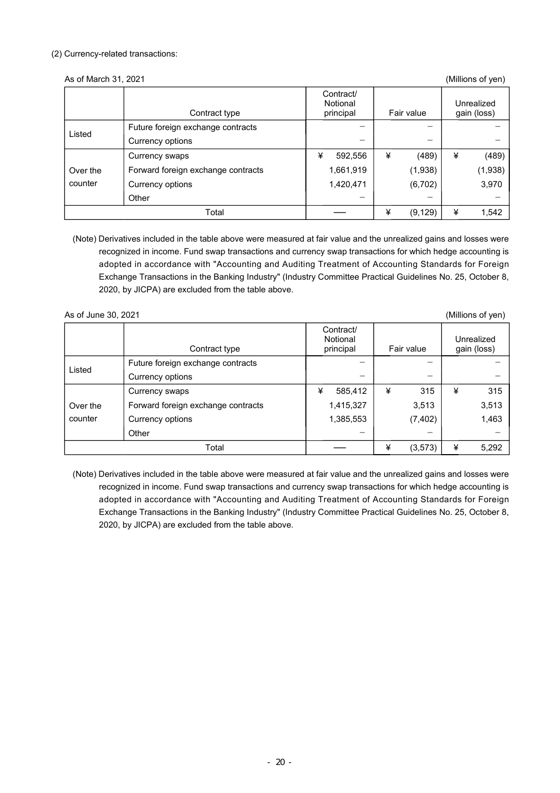#### (2) Currency-related transactions:

#### As of March 31, 2021 (Millions of yen)

|          | Contract type                      | Contract/<br>Notional<br>principal | Fair value    |   | Unrealized<br>gain (loss) |
|----------|------------------------------------|------------------------------------|---------------|---|---------------------------|
|          | Future foreign exchange contracts  |                                    |               |   |                           |
| Listed   | Currency options                   |                                    |               |   |                           |
|          | Currency swaps                     | ¥<br>592,556                       | ¥<br>(489)    | ¥ | (489)                     |
| Over the | Forward foreign exchange contracts | 1,661,919                          | (1,938)       |   | (1,938)                   |
| counter  | Currency options                   | 1,420,471                          | (6, 702)      |   | 3,970                     |
|          | Other                              |                                    | —             |   |                           |
|          | Total                              |                                    | ¥<br>(9, 129) | ¥ | 1,542                     |

(Note) Derivatives included in the table above were measured at fair value and the unrealized gains and losses were recognized in income. Fund swap transactions and currency swap transactions for which hedge accounting is adopted in accordance with "Accounting and Auditing Treatment of Accounting Standards for Foreign Exchange Transactions in the Banking Industry" (Industry Committee Practical Guidelines No. 25, October 8, 2020, by JICPA) are excluded from the table above.

As of June 30, 2021 (Millions of yen) Contract type Contract/ Notional<br>principal Fair value Unrealized gain (loss) Listed Future foreign exchange contracts Currency options Over the counter Currency swaps  $\frac{1}{2}$   $\frac{1}{2}$   $\frac{1}{2}$   $\frac{1}{2}$   $\frac{1}{2}$   $\frac{1}{2}$   $\frac{1}{2}$   $\frac{1}{2}$   $\frac{1}{2}$   $\frac{1}{2}$   $\frac{1}{2}$   $\frac{1}{2}$   $\frac{1}{2}$   $\frac{1}{2}$   $\frac{1}{2}$   $\frac{1}{2}$   $\frac{1}{2}$   $\frac{1}{2}$   $\frac{1}{2}$   $\frac{1}{2}$   $\frac{1}{$ Forward foreign exchange contracts 1,415,327 3,513 3,513 Currency options 1,385,553 (7,402) 1,463 Other  $-$  -  $-$  -  $-$  -  $-$  -  $-$  -  $-$  -  $-$  -  $-$  -  $-$  -  $-$  -  $-$  -  $-$  -  $-$  -  $-$  -  $-$  -  $-$  -  $-$  -  $-$  -  $-$  -  $-$  -  $-$  -  $-$  -  $-$  -  $-$  -  $-$  -  $-$  -  $-$  -  $-$  -  $-$  -  $-$  -  $-$  -  $-$  -  $-$  -  $-$  -  $-$  -  $-$  -Total ── ¥ (3,573) ¥ 5,292

(Note) Derivatives included in the table above were measured at fair value and the unrealized gains and losses were recognized in income. Fund swap transactions and currency swap transactions for which hedge accounting is adopted in accordance with "Accounting and Auditing Treatment of Accounting Standards for Foreign Exchange Transactions in the Banking Industry" (Industry Committee Practical Guidelines No. 25, October 8, 2020, by JICPA) are excluded from the table above.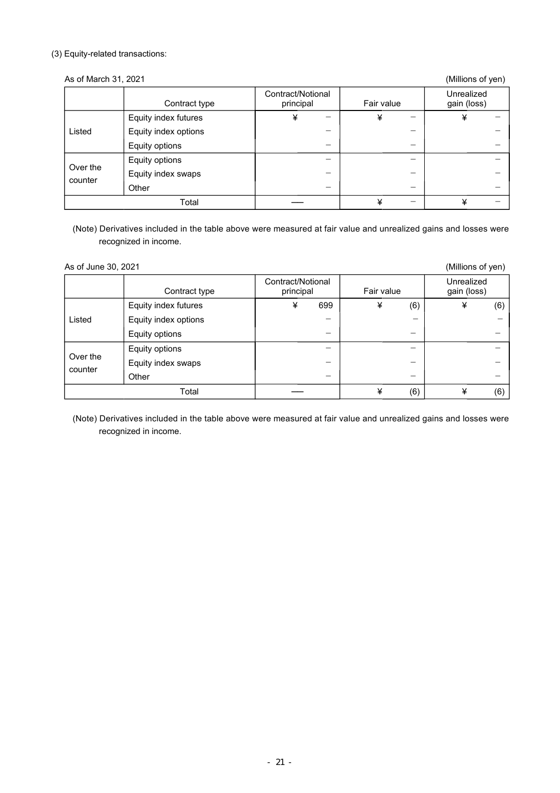#### (3) Equity-related transactions:

As of March 31, 2021

| (Millions of yen) |  |
|-------------------|--|
|                   |  |

|                     | Contract type        | Contract/Notional<br>principal | Fair value | Unrealized<br>gain (loss) |
|---------------------|----------------------|--------------------------------|------------|---------------------------|
| Listed              | Equity index futures | ¥<br>—                         | ¥<br>-     | ¥                         |
|                     | Equity index options |                                | –          |                           |
|                     | Equity options       |                                |            |                           |
| Over the<br>counter | Equity options       | -                              | -          |                           |
|                     | Equity index swaps   |                                | -          |                           |
|                     | Other                | –                              | —          |                           |
| Total               |                      |                                | ¥<br>—     | ¥                         |

(Note) Derivatives included in the table above were measured at fair value and unrealized gains and losses were recognized in income.

As of June 30, 2021 (Millions of yen) Contract type Contract/Notional Fair value Unrealized gain (loss) Listed Equity index futures  $\overline{\phantom{a}4\phantom{a}}\qquad \overline{\phantom{a}899\phantom{a}}\qquad \overline{\phantom{a}4\phantom{a}}\qquad \overline{\phantom{a}6\phantom{a}}\qquad \overline{\phantom{a}4\phantom{a}}\qquad \overline{\phantom{a}6\phantom{a}}\qquad \qquad (6)$ Equity index options  $-$ Equity options  $-$ Over the counter Equity options  $-$ Equity index swaps  $\begin{vmatrix} 1 & 1 & 1 \\ 1 & 1 & 1 \\ 1 & 1 & 1 \end{vmatrix}$   $\begin{vmatrix} -1 & 1 & 1 \\ 1 & 1 & 1 \\ 1 & 1 & 1 \end{vmatrix}$ Other - - - Total ── ¥ (6) ¥ (6)

(Note) Derivatives included in the table above were measured at fair value and unrealized gains and losses were recognized in income.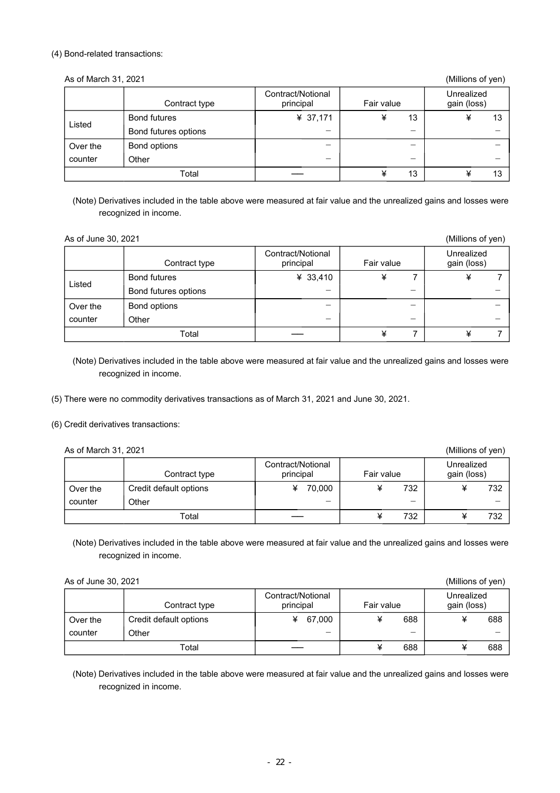#### (4) Bond-related transactions:

| As of March 31, 2021<br>(Millions of yen) |                      |                           |         |         |  |  |  |  |  |
|-------------------------------------------|----------------------|---------------------------|---------|---------|--|--|--|--|--|
|                                           | Contract type        | Unrealized<br>gain (loss) |         |         |  |  |  |  |  |
| Listed                                    | <b>Bond futures</b>  | ¥ 37,171                  | 13<br>¥ | ¥<br>13 |  |  |  |  |  |
|                                           | Bond futures options |                           | –       |         |  |  |  |  |  |
| Over the                                  | Bond options         |                           | –       |         |  |  |  |  |  |
| counter<br>Other                          |                      |                           | —       |         |  |  |  |  |  |
|                                           | Total                |                           | 13<br>¥ | ¥<br>13 |  |  |  |  |  |

(Note) Derivatives included in the table above were measured at fair value and the unrealized gains and losses were recognized in income.

| As of June 30, 2021 |                      |            |                           | (Millions of yen) |
|---------------------|----------------------|------------|---------------------------|-------------------|
|                     | Contract type        | Fair value | Unrealized<br>gain (loss) |                   |
| Listed              | <b>Bond futures</b>  | ¥ 33,410   | ¥                         | ¥                 |
|                     | Bond futures options |            |                           |                   |
| Over the            | Bond options         |            |                           |                   |
| counter             | Other                |            |                           |                   |
|                     | Total                |            | ¥                         | ¥                 |

(Note) Derivatives included in the table above were measured at fair value and the unrealized gains and losses were recognized in income.

(5) There were no commodity derivatives transactions as of March 31, 2021 and June 30, 2021.

(6) Credit derivatives transactions:

As of March 31, 2021 (Millions of yen)

|          | Contract type          | Contract/Notional<br>principal | Fair value |  | Unrealized<br>gain (loss) |  |  |     |
|----------|------------------------|--------------------------------|------------|--|---------------------------|--|--|-----|
| Over the | Credit default options | 70.000                         |            |  | 732                       |  |  | 732 |
| counter  | Other                  |                                |            |  |                           |  |  |     |
| Total    |                        |                                |            |  | 732                       |  |  | 732 |

(Note) Derivatives included in the table above were measured at fair value and the unrealized gains and losses were recognized in income.

As of June 30, 2021 (Millions of yen)

|          | Contract type          | Contract/Notional<br>principal |        | Fair value | Unrealized<br>gain (loss) |     |  |
|----------|------------------------|--------------------------------|--------|------------|---------------------------|-----|--|
| Over the | Credit default options | ¥                              | 67,000 | 688        |                           | 688 |  |
| counter  | Other                  |                                | —      | —          |                           |     |  |
|          | Total                  |                                |        | 688        |                           | 688 |  |

(Note) Derivatives included in the table above were measured at fair value and the unrealized gains and losses were recognized in income.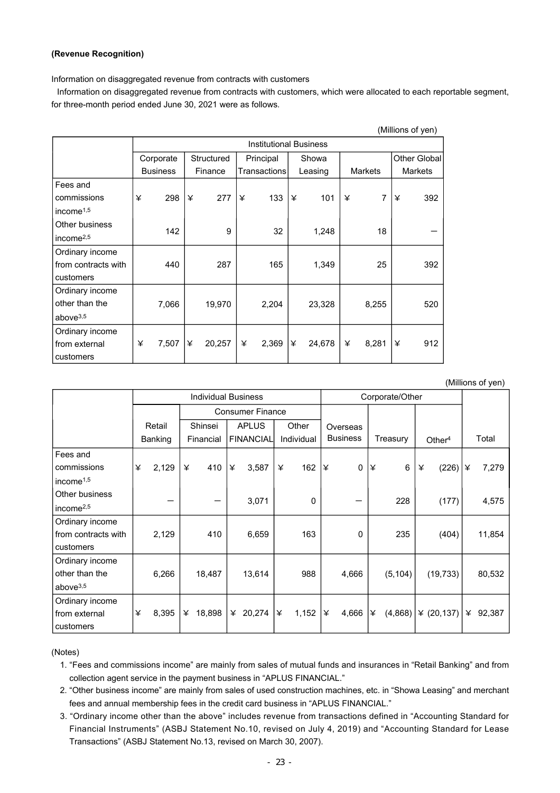#### **(Revenue Recognition)**

Information on disaggregated revenue from contracts with customers

Information on disaggregated revenue from contracts with customers, which were allocated to each reportable segment, for three-month period ended June 30, 2021 were as follows.

| (Millions of yen)     |                 |                               |              |             |                     |                |  |  |  |  |  |  |  |
|-----------------------|-----------------|-------------------------------|--------------|-------------|---------------------|----------------|--|--|--|--|--|--|--|
|                       |                 | <b>Institutional Business</b> |              |             |                     |                |  |  |  |  |  |  |  |
|                       | Corporate       | Structured                    | Principal    | Showa       |                     | Other Global   |  |  |  |  |  |  |  |
|                       | <b>Business</b> | Finance                       | Transactions | Leasing     | <b>Markets</b>      | <b>Markets</b> |  |  |  |  |  |  |  |
| Fees and              |                 |                               |              |             |                     |                |  |  |  |  |  |  |  |
| commissions           | 298<br>¥        | ¥<br>277                      | ¥<br>133     | ¥<br>101    | $\overline{7}$<br>¥ | 392<br>¥       |  |  |  |  |  |  |  |
| income $1,5$          |                 |                               |              |             |                     |                |  |  |  |  |  |  |  |
| Other business        | 142             | 9                             | 32           |             | 18                  |                |  |  |  |  |  |  |  |
| income <sup>2,5</sup> |                 |                               |              | 1,248       |                     |                |  |  |  |  |  |  |  |
| Ordinary income       |                 |                               |              |             |                     |                |  |  |  |  |  |  |  |
| from contracts with   | 440             | 287                           | 165          | 1,349       | 25                  | 392            |  |  |  |  |  |  |  |
| customers             |                 |                               |              |             |                     |                |  |  |  |  |  |  |  |
| Ordinary income       |                 |                               |              |             |                     |                |  |  |  |  |  |  |  |
| other than the        | 7,066           | 19,970                        | 2,204        | 23,328      | 8,255               | 520            |  |  |  |  |  |  |  |
| above $3,5$           |                 |                               |              |             |                     |                |  |  |  |  |  |  |  |
| Ordinary income       |                 |                               |              |             |                     |                |  |  |  |  |  |  |  |
| from external         | 7,507<br>¥      | ¥<br>20,257                   | 2,369<br>¥   | ¥<br>24,678 | 8,281<br>¥          | ¥<br>912       |  |  |  |  |  |  |  |
| customers             |                 |                               |              |             |                     |                |  |  |  |  |  |  |  |

#### (Millions of yen)

|                       |   | <b>Individual Business</b> |                         |         |                  |          |            |          | Corporate/Other |                 |    |          |                    |   |        |
|-----------------------|---|----------------------------|-------------------------|---------|------------------|----------|------------|----------|-----------------|-----------------|----|----------|--------------------|---|--------|
|                       |   |                            | <b>Consumer Finance</b> |         |                  |          |            |          |                 |                 |    |          |                    |   |        |
|                       |   | Retail                     |                         | Shinsei | <b>APLUS</b>     |          | Other      |          |                 | Overseas        |    |          |                    |   |        |
|                       |   | Banking                    | Financial               |         | <b>FINANCIAL</b> |          | Individual |          |                 | <b>Business</b> |    | Treasury | Other <sup>4</sup> |   | Total  |
| Fees and              |   |                            |                         |         |                  |          |            |          |                 |                 |    |          |                    |   |        |
| commissions           | ¥ | 2,129                      | ¥                       | 410     | ¥                | 3,587    | ¥          | 162      | ¥               | $\mathbf 0$     | ¥  | 6        | (226)<br>¥         | ¥ | 7,279  |
| income <sup>1,5</sup> |   |                            |                         |         |                  |          |            |          |                 |                 |    |          |                    |   |        |
| Other business        |   |                            |                         |         |                  | 3,071    |            | $\Omega$ |                 |                 |    | 228      | (177)              |   | 4,575  |
| income <sup>2,5</sup> |   |                            |                         |         |                  |          |            |          |                 |                 |    |          |                    |   |        |
| Ordinary income       |   |                            |                         |         |                  |          |            |          |                 |                 |    |          |                    |   |        |
| from contracts with   |   | 2,129                      |                         | 410     |                  | 6,659    |            | 163      |                 | 0               |    | 235      | (404)              |   | 11,854 |
| customers             |   |                            |                         |         |                  |          |            |          |                 |                 |    |          |                    |   |        |
| Ordinary income       |   |                            |                         |         |                  |          |            |          |                 |                 |    |          |                    |   |        |
| other than the        |   | 6,266                      |                         | 18,487  |                  | 13,614   |            | 988      |                 | 4,666           |    | (5, 104) | (19, 733)          |   | 80,532 |
| above $3,5$           |   |                            |                         |         |                  |          |            |          |                 |                 |    |          |                    |   |        |
| Ordinary income       |   |                            |                         |         |                  |          |            |          |                 |                 |    |          |                    |   |        |
| from external         | ¥ | 8,395                      | ¥                       | 18,898  |                  | ¥ 20,274 | ¥          | 1,152    | ¥               | 4,666           | l¥ | (4,868)  | ¥ $(20, 137)$      | ¥ | 92,387 |
| customers             |   |                            |                         |         |                  |          |            |          |                 |                 |    |          |                    |   |        |

(Notes)

1. "Fees and commissions income" are mainly from sales of mutual funds and insurances in "Retail Banking" and from collection agent service in the payment business in "APLUS FINANCIAL."

2. "Other business income" are mainly from sales of used construction machines, etc. in "Showa Leasing" and merchant fees and annual membership fees in the credit card business in "APLUS FINANCIAL."

3. "Ordinary income other than the above" includes revenue from transactions defined in "Accounting Standard for Financial Instruments" (ASBJ Statement No.10, revised on July 4, 2019) and "Accounting Standard for Lease Transactions" (ASBJ Statement No.13, revised on March 30, 2007).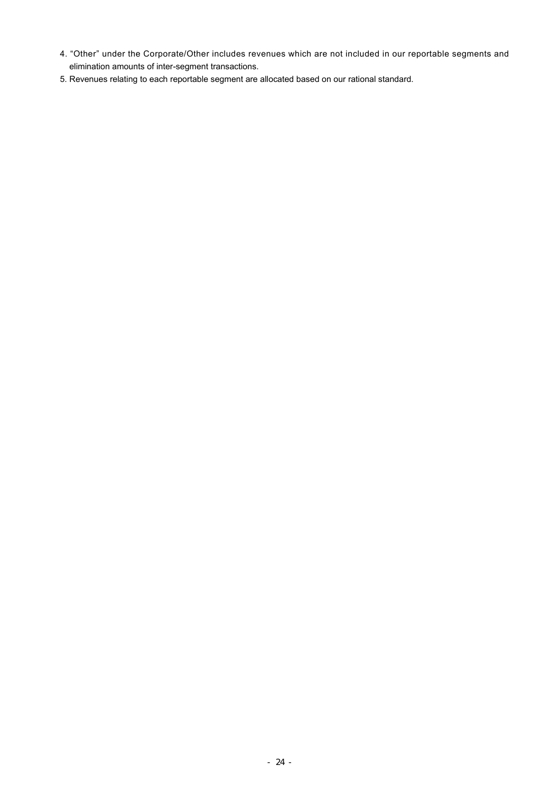- 4. "Other" under the Corporate/Other includes revenues which are not included in our reportable segments and elimination amounts of inter-segment transactions.
- 5. Revenues relating to each reportable segment are allocated based on our rational standard.